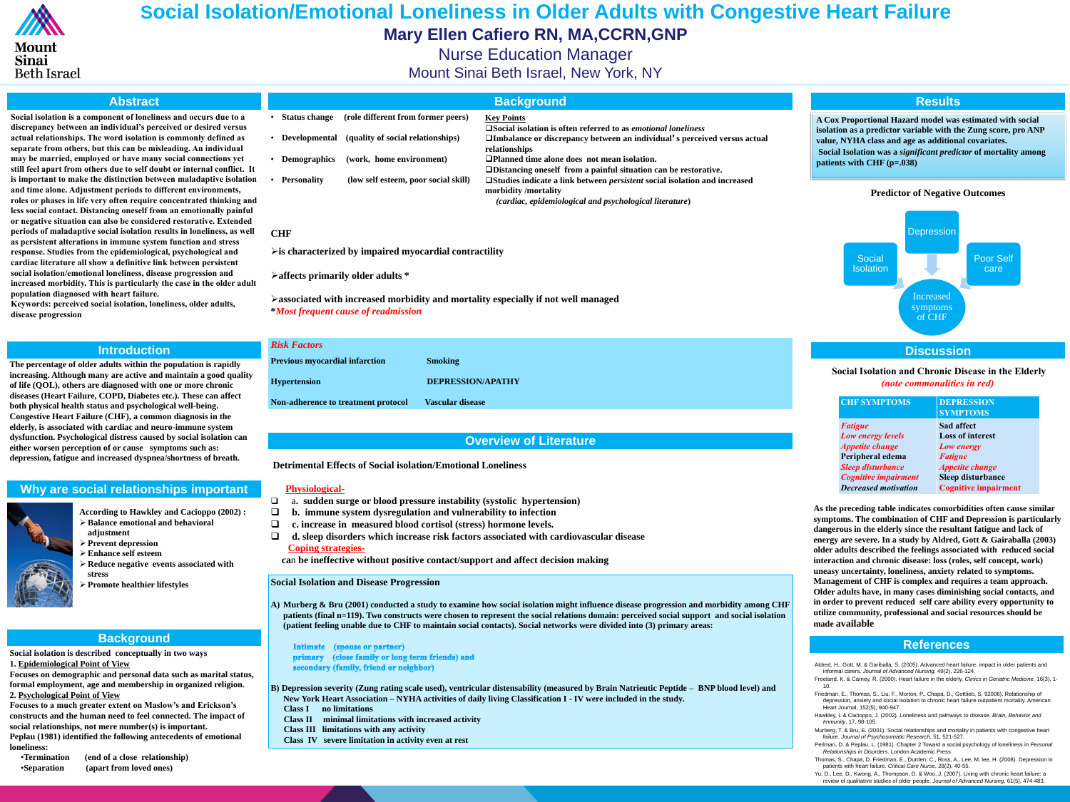# **Why are social relationships important**



**According to Hawkley and Cacioppo (2002) : Balance emotional and behavioral** 

- **adjustment**
- **Prevent depression**
- **Enhance self esteem**
- **Reduce negative events associated with stress**
- **Promote healthier lifestyles**

# **Abstract**

**Social isolation is a component of loneliness and occurs due to a discrepancy between an individual's perceived or desired versus actual relationships. The word isolation is commonly defined as separate from others, but this can be misleading. An individual may be married, employed or have many social connections yet still feel apart from others due to self doubt or internal conflict. It is important to make the distinction between maladaptive isolation and time alone. Adjustment periods to different environments, roles or phases in life very often require concentrated thinking and less social contact. Distancing oneself from an emotionally painful or negative situation can also be considered restorative. Extended periods of maladaptive social isolation results in loneliness, as well as persistent alterations in immune system function and stress response. Studies from the epidemiological, psychological and cardiac literature all show a definitive link between persistent social isolation/emotional loneliness, disease progression and increased morbidity. This is particularly the case in the older adult population diagnosed with heart failure.**

**Keywords: perceived social isolation, loneliness, older adults, disease progression**

### **References**

# **Social Isolation/Emotional Loneliness in Older Adults with Congestive Heart Failure Mary Ellen Cafiero RN, MA,CCRN,GNP** Nurse Education Manager Mount Sinai Beth Israel, New York, NY



### **Discussion**

Aldred, H., Gott, M. & Gariballa, S. (2005). Advanced heart failure: impact in older patients and informal carers. *Journal of Advanced Nursing*, 49(2), 226-124. Freeland, K. & Carney, R. (2000). Heart failure in the elderly. *Clinics in Geriatric Medicine*, 16(3), 1-

10.

Friedman, E., Thomas, S., Liu, F., Morton, P., Chapa, D., Gottlieb, S. 92006). Relationship of depression, anxiety and social isolation to chronic heart failure outpatient mortality. American Heart Journal, 152(5), 940-947.

Hawkley, L & Cacioppo, J. (2002). Loneliness and pathways to disease. *Brain, Behavior and Immunity*, 17, 98-105.

**Phannel does not mean isolation.** *Plf from a painful situation can be restorative.* **Studies indicate a link between** *persistent* **social isolation and increased** 

> Murberg, T. & Bru, E. (2001). Social relationships and mortality in patients with congestive heart failure. *Journal of Psychosomatic Research*, 51, 521-527.

Perlman, D. & Peplau, L. (1981). Chapter 2 Toward a social psychology of loneliness in *Personal Relationships in Disorders*. London Academic Press

Thomas, S., Chapa, D. Friedman, E., Durden, C., Ross, A., Lee, M. lee, H. (2008). Depression in patients with heart failure. *Critical Care Nurse*, 28(2), 40-55.

Yu, D., Lee, D., Kwong, A., Thompson, D. & Woo, J. (2007). Living with chronic heart failure: a review of qualitative studies of older people. *Journal of Advanced Nursing*, 61(5), 474-483.

# **Introduction**

# **Overview of Literature**

#### **Results**

# **Background**

**The percentage of older adults within the population is rapidly increasing. Although many are active and maintain a good quality of life (QOL), others are diagnosed with one or more chronic diseases (Heart Failure, COPD, Diabetes etc.). These can affect both physical health status and psychological well-being. Congestive Heart Failure (CHF), a common diagnosis in the elderly, is associated with cardiac and neuro-immune system dysfunction. Psychological distress caused by social isolation can either worsen perception of or cause symptoms such as: depression, fatigue and increased dyspnea/shortness of breath.**

isolation as a predictor variable with the Zung score<sub>?</sub><br>value, NYHA class and age as additional covariates. **A Cox Proportional Hazard model was estimated with social isolation as a predictor variable with the Zung score, pro ANP Social Isolation was a** *significant predictor* **of mortality among patients with CHF (p=.038)**

|           |                      |                                      | <b>Background</b>                                          |
|-----------|----------------------|--------------------------------------|------------------------------------------------------------|
| $\bullet$ | <b>Status change</b> | (role different from former peers)   | <b>Key Points</b><br><b>O</b> Social isolation is of       |
|           | • Developmental      | (quality of social relationships)    | <b>OImbalance or discre</b><br>relationships               |
|           | • Demographics       | (work, home environment)             | <b>OPlanned time alone</b><br><b>ODistancing oneself 1</b> |
|           | • Personality        | (low self esteem, poor social skill) | <b>OStudies indicate a lin</b><br>morbidity /mortality     |

**Social isolation is described conceptually in two ways 1. Epidemiological Point of View Focuses on demographic and personal data such as marital status, formal employment, age and membership in organized religion. 2. Psychological Point of View Focuses to a much greater extent on Maslow's and Erickson's constructs and the human need to feel connected. The impact of social relationships, not mere number(s) is important. Peplau (1981) identified the following antecedents of emotional** 

**loneliness:**

•**Termination (end of a close relationship)** •**Separation (apart from loved ones)**

*(cardiac, epidemiological and psychological literature***)**

#### **CHF**

**is characterized by impaired myocardial contractility** 

### **affects primarily older adults \***

**associated with increased morbidity and mortality especially if not well managed \****Most frequent cause of readmission*

| <b>Risk Factors</b>                        |                          |
|--------------------------------------------|--------------------------|
| <b>Previous myocardial infarction</b>      | <b>Smoking</b>           |
| <b>Hypertension</b>                        | <b>DEPRESSION/APATHY</b> |
| <b>Non-adherence to treatment protocol</b> | <b>Vascular disease</b>  |
|                                            |                          |

**Detrimental Effects of Social isolation/Emotional Loneliness**

# **Physiological-**

- a**. sudden surge or blood pressure instability (systolic hypertension)**
	- **b. immune system dysregulation and vulnerability to infection**
- **c. increase in measured blood cortisol (stress) hormone levels.**
- **d. sleep disorders which increase risk factors associated with cardiovascular disease Coping strategies-**
- **ca**n **be ineffective without positive contact/support and affect decision making**

# **Social Isolation and Disease Progression**

**A) Murberg & Bru (2001) conducted a study to examine how social isolation might influence disease progression and morbidity among CHF patients (final n=119). Two constructs were chosen to represent the social relations domain: perceived social support and social isolation (patient feeling unable due to CHF to maintain social contacts). Social networks were divided into (3) primary areas:**

Intimate (spouse or partner) primary (close family or long term friends) and secondary (family, friend or neighbor)

- **B) Depression severity (Zung rating scale used), ventricular distensability (measured by Brain Natrieutic Peptide – BNP blood level) and New York Heart Association – NYHA activities of daily living Classification I - IV were included in the study.**
	- **Class I no limitations**
	- **Class II minimal limitations with increased activity**
	- **Class III limitations with any activity**
	- **Class IV severe limitation in activity even at rest**

**Soften referred to as** *emotional loneliness* **Imbalance of the controportion of the set of the control individual**'s perceived versus actual

## **Predictor of Negative Outcomes**



#### **Social Isolation and Chronic Disease in the Elderly** *(note commonalities in red)*

**As the preceding table indicates comorbidities often cause similar symptoms. The combination of CHF and Depression is particularly dangerous in the elderly since the resultant fatigue and lack of energy are severe. In a study by Aldred, Gott & Gairaballa (2003) older adults described the feelings associated with reduced social interaction and chronic disease: loss (roles, self concept, work) uneasy uncertainty, loneliness, anxiety related to symptoms. Management of CHF is complex and requires a team approach. Older adults have, in many cases diminishing social contacts, and in order to prevent reduced self care ability every opportunity to utilize community, professional and social resources should be made available** 

| <b>CHF SYMPTOMS</b>         | <b>DEPRESSION</b><br><b>SYMPTOMS</b> |
|-----------------------------|--------------------------------------|
| <b>Fatigue</b>              | <b>Sad affect</b>                    |
| Low energy levels           | <b>Loss of interest</b>              |
| <b>Appetite change</b>      | Low energy                           |
| Peripheral edema            | <b>Fatigue</b>                       |
| <b>Sleep disturbance</b>    | <b>Appetite change</b>               |
| <b>Cognitive impairment</b> | <b>Sleep disturbance</b>             |
| <b>Decreased motivation</b> | <b>Cognitive impairment</b>          |